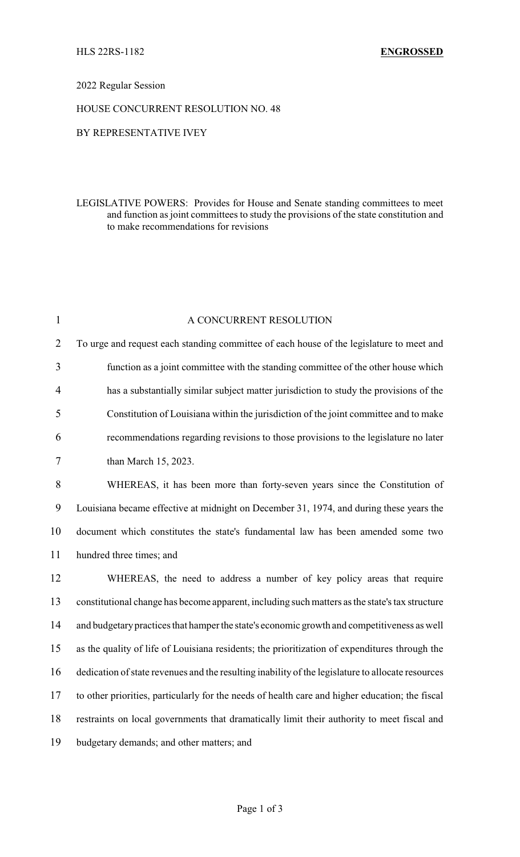# 2022 Regular Session

#### HOUSE CONCURRENT RESOLUTION NO. 48

#### BY REPRESENTATIVE IVEY

### LEGISLATIVE POWERS: Provides for House and Senate standing committees to meet and function as joint committees to study the provisions of the state constitution and to make recommendations for revisions

| $\mathbf{1}$   | A CONCURRENT RESOLUTION                                                                           |  |
|----------------|---------------------------------------------------------------------------------------------------|--|
| $\overline{2}$ | To urge and request each standing committee of each house of the legislature to meet and          |  |
| 3              | function as a joint committee with the standing committee of the other house which                |  |
| $\overline{4}$ | has a substantially similar subject matter jurisdiction to study the provisions of the            |  |
| 5              | Constitution of Louisiana within the jurisdiction of the joint committee and to make              |  |
| 6              | recommendations regarding revisions to those provisions to the legislature no later               |  |
| $\tau$         | than March 15, 2023.                                                                              |  |
| 8              | WHEREAS, it has been more than forty-seven years since the Constitution of                        |  |
| 9              | Louisiana became effective at midnight on December 31, 1974, and during these years the           |  |
| 10             | document which constitutes the state's fundamental law has been amended some two                  |  |
| 11             | hundred three times; and                                                                          |  |
| 12             | WHEREAS, the need to address a number of key policy areas that require                            |  |
| 13             | constitutional change has become apparent, including such matters as the state's tax structure    |  |
| 14             | and budgetary practices that hamper the state's economic growth and competitiveness as well       |  |
| 15             | as the quality of life of Louisiana residents; the prioritization of expenditures through the     |  |
| 16             | dedication of state revenues and the resulting inability of the legislature to allocate resources |  |
| 17             | to other priorities, particularly for the needs of health care and higher education; the fiscal   |  |
| 18             | restraints on local governments that dramatically limit their authority to meet fiscal and        |  |
| 19             | budgetary demands; and other matters; and                                                         |  |
|                |                                                                                                   |  |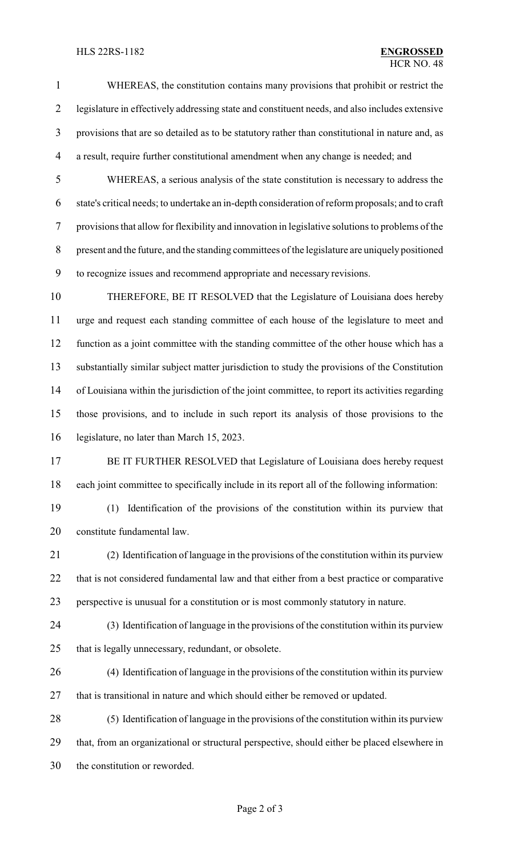#### HLS 22RS-1182 **ENGROSSED**

 WHEREAS, the constitution contains many provisions that prohibit or restrict the legislature in effectively addressing state and constituent needs, and also includes extensive provisions that are so detailed as to be statutory rather than constitutional in nature and, as a result, require further constitutional amendment when any change is needed; and

 WHEREAS, a serious analysis of the state constitution is necessary to address the state's critical needs; to undertake an in-depth consideration of reform proposals; and to craft provisions that allow for flexibility and innovation in legislative solutions to problems of the present and the future, and the standing committees of the legislature are uniquely positioned to recognize issues and recommend appropriate and necessary revisions.

 THEREFORE, BE IT RESOLVED that the Legislature of Louisiana does hereby urge and request each standing committee of each house of the legislature to meet and function as a joint committee with the standing committee of the other house which has a substantially similar subject matter jurisdiction to study the provisions of the Constitution of Louisiana within the jurisdiction of the joint committee, to report its activities regarding those provisions, and to include in such report its analysis of those provisions to the legislature, no later than March 15, 2023.

- 17 BE IT FURTHER RESOLVED that Legislature of Louisiana does hereby request each joint committee to specifically include in its report all of the following information:
- (1) Identification of the provisions of the constitution within its purview that constitute fundamental law.

 (2) Identification of language in the provisions of the constitution within its purview that is not considered fundamental law and that either from a best practice or comparative perspective is unusual for a constitution or is most commonly statutory in nature.

- (3) Identification of language in the provisions of the constitution within its purview that is legally unnecessary, redundant, or obsolete.
- (4) Identification of language in the provisions of the constitution within its purview that is transitional in nature and which should either be removed or updated.
- (5) Identification of language in the provisions of the constitution within its purview that, from an organizational or structural perspective, should either be placed elsewhere in the constitution or reworded.